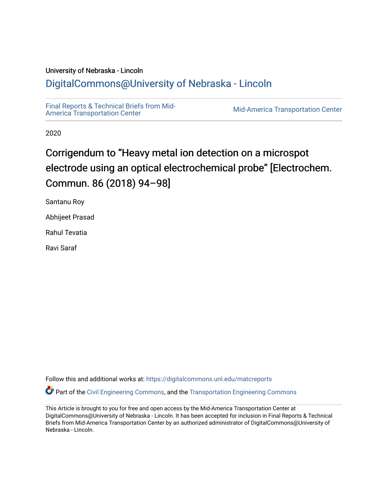## University of Nebraska - Lincoln [DigitalCommons@University of Nebraska - Lincoln](https://digitalcommons.unl.edu/)

[Final Reports & Technical Briefs from Mid-](https://digitalcommons.unl.edu/matcreports)

**Mid-[America Transportation Center](https://digitalcommons.unl.edu/matcreports)** 

2020

## Corrigendum to "Heavy metal ion detection on a microspot electrode using an optical electrochemical probe" [Electrochem. Commun. 86 (2018) 94–98]

Santanu Roy

Abhijeet Prasad

Rahul Tevatia

Ravi Saraf

Follow this and additional works at: [https://digitalcommons.unl.edu/matcreports](https://digitalcommons.unl.edu/matcreports?utm_source=digitalcommons.unl.edu%2Fmatcreports%2F130&utm_medium=PDF&utm_campaign=PDFCoverPages)

Part of the [Civil Engineering Commons](http://network.bepress.com/hgg/discipline/252?utm_source=digitalcommons.unl.edu%2Fmatcreports%2F130&utm_medium=PDF&utm_campaign=PDFCoverPages), and the [Transportation Engineering Commons](http://network.bepress.com/hgg/discipline/1329?utm_source=digitalcommons.unl.edu%2Fmatcreports%2F130&utm_medium=PDF&utm_campaign=PDFCoverPages)

This Article is brought to you for free and open access by the Mid-America Transportation Center at DigitalCommons@University of Nebraska - Lincoln. It has been accepted for inclusion in Final Reports & Technical Briefs from Mid-America Transportation Center by an authorized administrator of DigitalCommons@University of Nebraska - Lincoln.